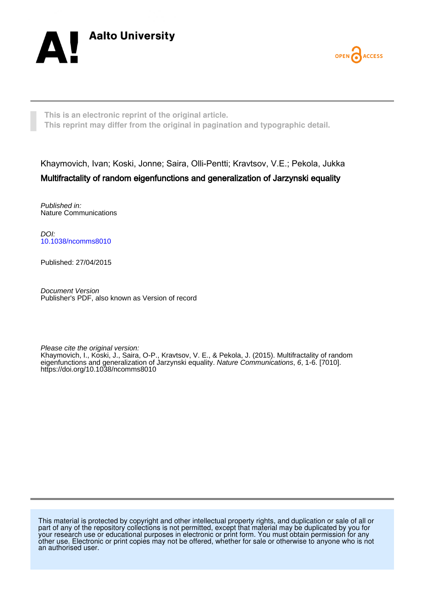



**This is an electronic reprint of the original article. This reprint may differ from the original in pagination and typographic detail.**

## Khaymovich, Ivan; Koski, Jonne; Saira, Olli-Pentti; Kravtsov, V.E.; Pekola, Jukka Multifractality of random eigenfunctions and generalization of Jarzynski equality

Published in: Nature Communications

DOI: [10.1038/ncomms8010](https://doi.org/10.1038/ncomms8010)

Published: 27/04/2015

Document Version Publisher's PDF, also known as Version of record

Please cite the original version: Khaymovich, I., Koski, J., Saira, O-P., Kravtsov, V. E., & Pekola, J. (2015). Multifractality of random eigenfunctions and generalization of Jarzynski equality. Nature Communications, 6, 1-6. [7010]. <https://doi.org/10.1038/ncomms8010>

This material is protected by copyright and other intellectual property rights, and duplication or sale of all or part of any of the repository collections is not permitted, except that material may be duplicated by you for your research use or educational purposes in electronic or print form. You must obtain permission for any other use. Electronic or print copies may not be offered, whether for sale or otherwise to anyone who is not an authorised user.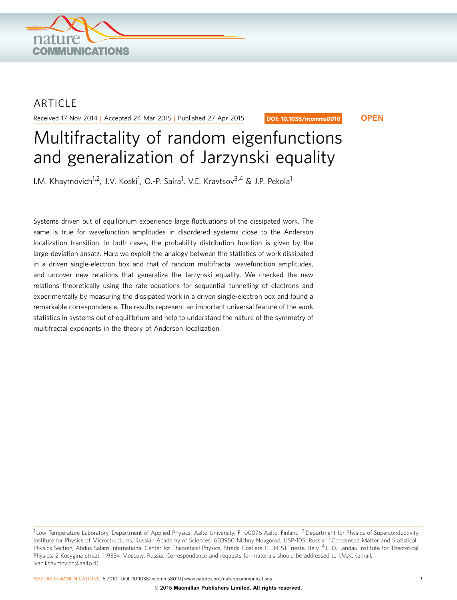

# **ARTICLE**

Received 17 Nov 2014 | Accepted 24 Mar 2015 | Published 27 Apr 2015

DOI: 10.1038/ncomms8010 **OPEN**

# Multifractality of random eigenfunctions and generalization of Jarzynski equality

I.M. Khaymovich<sup>1,2</sup>, J.V. Koski<sup>1</sup>, O.-P. Saira<sup>1</sup>, V.E. Kravtsov<sup>3,4</sup> & J.P. Pekola<sup>1</sup>

Systems driven out of equilibrium experience large fluctuations of the dissipated work. The same is true for wavefunction amplitudes in disordered systems close to the Anderson localization transition. In both cases, the probability distribution function is given by the large-deviation ansatz. Here we exploit the analogy between the statistics of work dissipated in a driven single-electron box and that of random multifractal wavefunction amplitudes, and uncover new relations that generalize the Jarzynski equality. We checked the new relations theoretically using the rate equations for sequential tunnelling of electrons and experimentally by measuring the dissipated work in a driven single-electron box and found a remarkable correspondence. The results represent an important universal feature of the work statistics in systems out of equilibrium and help to understand the nature of the symmetry of multifractal exponents in the theory of Anderson localization.

NATURE COMMUNICATIONS | 6:7010 | DOI: 10.1038/ncomms8010 | [www.nature.com/naturecommunications](http://www.nature.com/naturecommunications) 1

<sup>&</sup>lt;sup>1</sup> Low Temperature Laboratory, Department of Applied Physics, Aalto University, FI-00076 Aalto, Finland. <sup>2</sup> Department for Physics of Superconductivity, Institute for Physics of Microstructures, Russian Academy of Sciences, 603950 Nizhny Novgorod, GSP-105, Russia. <sup>3</sup> Condensed Matter and Statistical Physics Section, Abdus Salam International Center for Theoretical Physics, Strada Costiera 11, 34151 Trieste, Italy. <sup>4</sup> L. D. Landau Institute for Theoretical Physics, 2 Kosygina street, 119334 Moscow, Russia. Correspondence and requests for materials should be addressed to I.M.K. (email: [ivan.khaymovich@aalto.fi](mailto:ivan.khaymovich@aalto.fi)).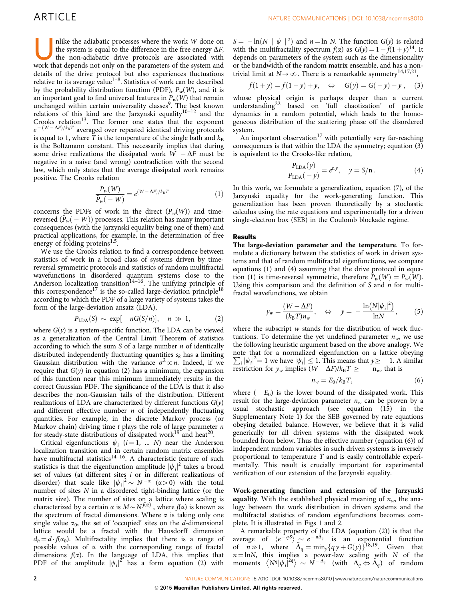nlike the adiabatic processes where the work  $W$  done on the system is equal to the difference in the free energy  $\Delta F$ , the non-adiabatic drive protocols are associated with work that depends not only on the parameters of the system and details of the drive protocol but also experiences fluctuations relative to its average value<sup>1–8</sup>. Statistics of work can be described by the probability distribution function (PDF),  $P_w(W)$ , and it is an important goal to find universal features in  $P_w(W)$  that remain unchanged within certain universality classes<sup>9</sup>. The best known relations of this kind are the Jarzynski equality $10^{-12}$  and the Crooks relation<sup>13</sup>. The former one states that the exponent  $e^{-(W-\Delta F)/k_{\rm B}T}$  averaged over repeated identical driving protocols is equal to 1, where  $\overline{T}$  is the temperature of the single bath and  $k_{\text{B}}$ is the Boltzmann constant. This necessarily implies that during some drive realizations the dissipated work  $W - \Delta F$  must be negative in a naive (and wrong) contradiction with the second law, which only states that the average dissipated work remains positive. The Crooks relation

$$
\frac{P_w(W)}{\tilde{P}_w(-W)} = e^{(W-\Delta F)/k_B T} \tag{1}
$$

concerns the PDFs of work in the direct  $(P_w(W))$  and timereversed  $(\tilde{P}_w(-|W))$  processes. This relation has many important consequences (with the Jarzynski equality being one of them) and practical applications, for example, in the determination of free energy of folding proteins<sup>[1,5](#page-6-0)</sup>.

We use the Crooks relation to find a correspondence between statistics of work in a broad class of systems driven by timereversal symmetric protocols and statistics of random multifractal wavefunctions in disordered quantum systems close to the Anderson localization transition<sup>14–16</sup>. The unifying principle of this correspondence<sup>[17](#page-6-0)</sup> is the so-called large-deviation principle<sup>18</sup> according to which the PDF of a large variety of systems takes the form of the large-deviation ansatz (LDA),

$$
P_{\text{LDA}}(S) \sim \exp[-nG(S/n)], \quad n \gg 1, \tag{2}
$$

where  $G(y)$  is a system-specific function. The LDA can be viewed as a generalization of the Central Limit Theorem of statistics according to which the sum  $S$  of a large number  $n$  of identically distributed independently fluctuating quantities  $s_k$  has a limiting Gaussian distribution with the variance  $\sigma^2 \propto n$ . Indeed, if we require that  $G(y)$  in equation (2) has a minimum, the expansion of this function near this minimum immediately results in the correct Gaussian PDF. The significance of the LDA is that it also describes the non-Gaussian tails of the distribution. Different realizations of LDA are characterized by different functions  $G(y)$ and different effective number  $n$  of independently fluctuating quantities. For example, in the discrete Markov process (or Markov chain) driving time  $t$  plays the role of large parameter  $n$ for steady-state distributions of dissipated work<sup>[19](#page-6-0)</sup> and heat<sup>20</sup>.

Critical eigenfunctions  $\psi_i$  (i = 1, ... N) near the Anderson localization transition and in certain random matrix ensembles have multifractal statistics<sup>14-16</sup>. A characteristic feature of such statistics is that the eigenfunction amplitude  $|\psi_i|^2$  takes a broad set of values (at different sites  $i$  or in different realizations of disorder) that scale like  $|\psi_i|^2 \sim N^{-\alpha}$  ( $\alpha > 0$ ) with the total number of sites N in a disordered tight-binding lattice (or the matrix size). The number of sites on a lattice where scaling is characterized by a certain  $\alpha$  is  $M\!\sim\!N^{f\!(\alpha)}$  , where  $f\!(\alpha)$  is known as the spectrum of fractal dimensions. Where  $\alpha$  is taking only one single value  $\alpha_0$ , the set of 'occupied' sites on the d-dimensional lattice would be a fractal with the Hausdorff dimension  $d_h = d \cdot f(\alpha_0)$ . Multifractality implies that there is a range of possible values of  $\alpha$  with the corresponding range of fractal dimensions  $f(x)$ . In the language of LDA, this implies that PDF of the amplitude  $|\psi_i|^2$  has a form equation (2) with

 $S = -\ln(N \mid \psi \mid^2)$  and  $n = \ln N$ . The function  $G(y)$  is related with the multifractality spectrum  $f(x)$  as  $G(y) = 1 - f(1+y)^{14}$  $G(y) = 1 - f(1+y)^{14}$  $G(y) = 1 - f(1+y)^{14}$ . It depends on parameters of the system such as the dimensionality or the bandwidth of the random matrix ensemble, and has a nontrivial limit at  $N \rightarrow \infty$ . There is a remarkable symmetry<sup>[14,17,21](#page-6-0)</sup>,

$$
f(1+y) = f(1-y) + y, \Leftrightarrow G(y) = G(-y) - y,
$$
 (3)

whose physical origin is perhaps deeper than a current understanding<sup>22</sup> based on 'full chaotization' of particle based on 'full chaotization' of particle dynamics in a random potential, which leads to the homogeneous distribution of the scattering phase off the disordered system.

An important observation<sup>[17](#page-6-0)</sup> with potentially very far-reaching consequences is that within the LDA the symmetry; equation (3) is equivalent to the Crooks-like relation,

$$
\frac{P_{\text{LDA}}(y)}{P_{\text{LDA}}(-y)} = e^{ny}, \quad y = S/n.
$$
 (4)

In this work, we formulate a generalization, equation (7), of the Jarzynski equality for the work-generating function. This generalization has been proven theoretically by a stochastic calculus using the rate equations and experimentally for a driven single-electron box (SEB) in the Coulomb blockade regime.

### Results

The large-deviation parameter and the temperature. To formulate a dictionary between the statistics of work in driven systems and that of random multifractal eigenfunctions, we compare equations (1) and (4) assuming that the drive protocol in equation (1) is time-reversal symmetric, therefore  $\tilde{P}_w(W) = P_w(W)$ . Using this comparison and the definition of S and  $n$  for multifractal wavefunctions, we obtain

$$
y_w = \frac{(W - \Delta F)}{(k_B T) n_w}, \quad \Leftrightarrow \quad y = -\frac{\ln(N|\psi_i|^2)}{\ln N}, \quad (5)
$$

where the subscript  $w$  stands for the distribution of work fluctuations. To determine the yet undefined parameter  $n_w$ , we use the following heuristic argument based on the above analogy. We note that for a normalized eigenfunction on a lattice obeying  $\sum_i |\psi_i|^2 = 1$  we have  $|\psi_i| \leq 1$ . This means that  $y \geq -1$ . A similar restriction for  $y_w$  implies  $(W - \Delta F)/k_B T \ge -n_w$ , that is

$$
n_w = E_0 / k_B T, \tag{6}
$$

where  $(-E_0)$  is the lower bound of the dissipated work. This result for the large-deviation parameter  $n_w$  can be proven by a usual stochastic approach (see equation (15) in the Supplementary Note 1) for the SEB governed by rate equations obeying detailed balance. However, we believe that it is valid generically for all driven systems with the dissipated work bounded from below. Thus the effective number (equation (6)) of independent random variables in such driven systems is inversely proportional to temperature  $T$  and is easily controllable experimentally. This result is crucially important for experimental verification of our extension of the Jarzynski equality.

Work-generating function and extension of the Jarzynski equality. With the established physical meaning of  $n_w$ , the analogy between the work distribution in driven systems and the multifractal statistics of random eigenfunctions becomes complete. It is illustrated in [Figs 1 and 2.](#page-3-0)

A remarkable property of the LDA (equation (2)) is that the average of  $\langle e^{-qS} \rangle \sim e^{-n\tilde{\Delta}_q}$  is an exponential function of  $n \gg 1$ , where  $\hat{\Delta}_q = \min_y \{ q y + G(y) \}^{18,19}$  $\hat{\Delta}_q = \min_y \{ q y + G(y) \}^{18,19}$  $\hat{\Delta}_q = \min_y \{ q y + G(y) \}^{18,19}$ . Given that *n*=lnN, this implies a power-law scaling with N of the moments  $\langle N^q | \psi_i |^{2q} \rangle \sim N^{-\Delta_q}$  (with  $\Delta_q \Leftrightarrow \tilde{\Delta}_q$ ) of random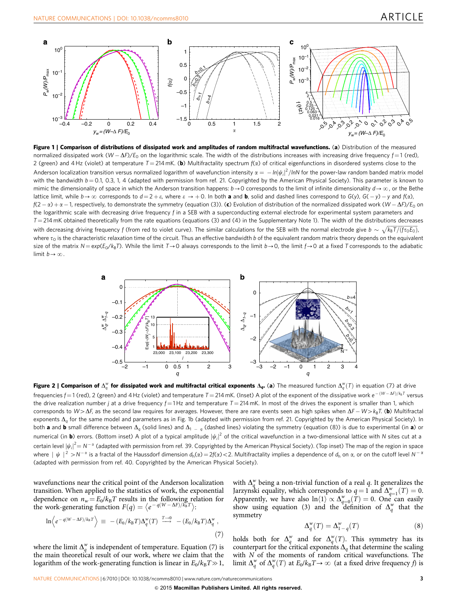<span id="page-3-0"></span>

Figure 1 | Comparison of distributions of dissipated work and amplitudes of random multifractal wavefunctions. (a) Distribution of the measured normalized dissipated work (W –  $\Delta F$ )/E<sub>0</sub> on the logarithmic scale. The width of the distributions increases with increasing drive frequency f=1 (red), 2 (green) and 4 Hz (violet) at temperature T = 214 mK. (b) Multifractality spectrum  $f(x)$  of critical eigenfunctions in disordered systems close to the Anderson localization transition versus normalized logarithm of wavefunction intensity  $\alpha=-\ln |\psi_i|^2/\ln N$  for the power-law random banded matrix model with the bandwidth  $b = 0.1$ , 0.3, 1, 4 (adapted with permission from [ref. 21](#page-6-0). Copyrighted by the American Physical Society). This parameter is known to mimic the dimensionality of space in which the Anderson transition happens:  $b \rightarrow 0$  corresponds to the limit of infinite dimensionality  $d \rightarrow \infty$ , or the Bethe lattice limit, while  $b\to\infty$  corresponds to  $d=2+\varepsilon$ , where  $\varepsilon\to+$  0. In both  ${\bf a}$  and  ${\bf b}$ , solid and dashed lines correspond to G(y), G(  $-y)$   $-y$  and f( $\alpha$ ),  $f(2-\alpha)+\alpha-1$ , respectively, to demonstrate the symmetry (equation (3)). (c) Evolution of distribution of the normalized dissipated work (W  $-\Delta F$ )/E<sub>0</sub> on the logarithmic scale with decreasing drive frequency f in a SEB with a superconducting external electrode for experimental system parameters and  $T = 214$  mK obtained theoretically from the rate equations (equations (3) and (4) in the Supplementary Note 1). The width of the distributions decreases with decreasing driving frequency f (from red to violet curve). The similar calculations for the SEB with the normal electrode give  $b \sim \sqrt{k_B T/(f \tau_0 E_0)}$ , where  $\tau_0$  is the characteristic relaxation time of the circuit. Thus an effective bandwidth b of the equivalent random matrix theory depends on the equivalent size of the matrix  $N = \exp(\mathcal{E}_0 / k_B T)$ . While the limit  $T \rightarrow 0$  always corresponds to the limit  $b \rightarrow 0$ , the limit  $f \rightarrow 0$  at a fixed T corresponds to the adiabatic limit  $b\rightarrow\infty$ .



Figure 2 | Comparison of  $\Delta_q^w$  for dissipated work and multifractal critical exponents  $\Delta_{\bm q}$ . (a) The measured function  $\Delta_q^w (T)$  in equation (7) at drive frequencies f=1 (red), 2 (green) and 4Hz (violet) and temperature T=214 mK. (Inset) A plot of the exponent of the dissipative work e  $^{-(W-\Delta F)/k_{\rm B}T}$  versus the drive realization number j at a drive frequency  $f = 1$  Hz and temperature  $T = 214$  mK. In most of the drives the exponent is smaller than 1, which corresponds to  $W>\Delta F$ , as the second law requires for averages. However, there are rare events seen as high spikes when  $\Delta F-W>k_{\rm B}T$ . (b) Multifractal exponents  $\Delta_q$  for the same model and parameters as in Fig. 1b (adapted with permission from [ref. 21.](#page-6-0) Copyrighted by the American Physical Society). In both **a** and **b** small difference between  $\Delta_q$  (solid lines) and  $\Delta_1 = q$  (dashed lines) violating the symmetry (equation (8)) is due to experimental (in **a**) or numerical (in b) errors. (Bottom inset) A plot of a typical amplitude  $|\psi_i|^2$  of the critical wavefunction in a two-dimensional lattice with N sites cut at a certain level  $\left|\psi_{i}\right|^{2} = N^{-\alpha}$  (adapted with permission from [ref. 39.](#page-6-0) Copyrighted by the American Physical Society). (Top inset) The map of the region in space where  $\mid \psi \mid^2 > N^{-\alpha}$  is a fractal of the Haussdorf dimension  $d_h(\alpha) = 2f(\alpha) < 2$ . Multifractality implies a dependence of  $d_h$  on  $\alpha$ , or on the cutoff level N  $^{-\alpha}$ (adapted with permission from [ref. 40](#page-6-0). Copyrighted by the American Physical Society).

wavefunctions near the critical point of the Anderson localization transition. When applied to the statistics of work, the exponential dependence on  $n_w = E_0/k_B T$  results in the following relation for the work-generating function  $F(q) = \langle e^{-q(W - \Delta F)/k_B T} \rangle$ :

where the limit  $\Delta_q^w$  is independent of temperature. Equation (7) is the main theoretical result of our work, where we claim that the logarithm of the work-generating function is linear in  $E_0/k_BT\gg1$ ,

$$
\ln \left\langle e^{-q(W-\Delta F)/k_{\rm B}T} \right\rangle \equiv - (E_0/k_{\rm B}T)\Delta_q^w(T) \stackrel{T \to 0}{\longrightarrow} - (E_0/k_{\rm B}T)\Delta_q^w , \tag{7}
$$

with  $\Delta_q^w$  being a non-trivial function of a real q. It generalizes the Jarzynski equality, which corresponds to  $q = 1$  and  $\Delta_{q=1}^w(T) = 0$ . Apparently, we have also  $\ln \langle 1 \rangle \propto \Delta_{q=0}^w(\hat{T}) = 0$ . One can easily show using equation (3) and the definition of  $\Delta_q^w$  that the symmetry

$$
\Delta_q^w(T) = \Delta_{1-q}^w(T) \tag{8}
$$

holds both for  $\Delta_q^w$  and for  $\Delta_q^w(T)$ . This symmetry has its counterpart for the critical exponents  $\Delta_q$  that determine the scaling with N of the moments of random critical wavefunctions. The limit  $\Delta_q^w$  of  $\Delta_q^w(T)$  at  $E_0/k_B T \to \infty$  (at a fixed drive frequency f) is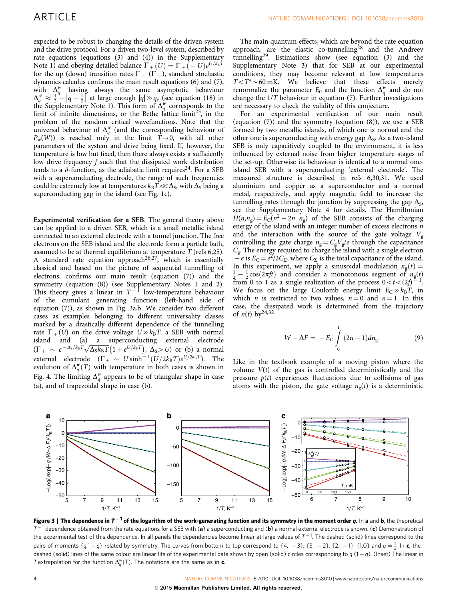<span id="page-4-0"></span>expected to be robust to changing the details of the driven system and the drive protocol. For a driven two-level system, described by rate equations (equations (3) and (4)) in the Supplementary Note 1) and obeying detailed balance  $\Gamma_+(U)=\Gamma_+(-U)e^{U/k_{\rm B}T}$ for the up (down) transition rates  $\Gamma_+$  ( $\Gamma_-$ ), standard stochastic dynamics calculus confirms the main result equations (6) and (7), with  $\Delta_q^w$  having always the same asymptotic behaviour  $\Delta_q^w \approx \frac{1}{2} - |q-\frac{1}{2}|$ at large enough  $|q| \gg q_c$  (see equation (18) in the Supplementary Note 1). This form of  $\Delta_q^w$  corresponds to the limit of infinite dimensions, or the Bethe lattice limit<sup>23</sup>, in the problem of the random critical wavefunctions. Note that the universal behaviour of  $\Delta_q^w$  (and the corresponding behaviour of  $P_w(W)$ ) is reached only in the limit  $T\rightarrow 0$ , with all other parameters of the system and drive being fixed. If, however, the temperature is low but fixed, then there always exists a sufficiently low drive frequency  $f$  such that the dissipated work distribution tends to a  $\delta$ -function, as the adiabatic limit requires<sup>24</sup>. For a SEB with a superconducting electrode, the range of such frequencies could be extremely low at temperatures  $k_BT \ll \Delta_s$ , with  $\Delta_s$  being a superconducting gap in the island (see [Fig. 1c\)](#page-3-0).

Experimental verification for a SEB. The general theory above can be applied to a driven SEB, which is a small metallic island connected to an external electrode with a tunnel junction. The free electrons on the SEB island and the electrode form a particle bath, assumed to be at thermal equilibrium at temperature  $T$  [\(refs 6,25](#page-6-0)). A standard rate equation approach<sup>26,27</sup>, which is essentially classical and based on the picture of sequential tunnelling of electrons, confirms our main result (equation (7)) and the symmetry (equation (8)) (see Supplementary Notes 1 and 2). This theory gives a linear in  $T^{-1}$  low-temperature behaviour of the cumulant generating function (left-hand side of equation (7)), as shown in Fig. 3a,b. We consider two different cases as examples belonging to different universality classes marked by a drastically different dependence of the tunnelling rate  $\Gamma_+(U)$  on the drive voltage  $U \gg k_B T$ : a SEB with normal island and (a) a superconducting external electrode Stand and (a) a superconducting external electrode<br>  $(\Gamma_+ \sim e^{-\Delta_S/k_B T} \sqrt{\Delta_S k_B T} (1 + e^{U/k_B T})$ ,  $\Delta_S > U$ ) or (b) a normal external electrode ( $\Gamma_+ \sim \, U \, {\rm sinh}^{-1} (U/2 k_{\rm B} T) e^{U/2 k_{\rm B} T}$ ). The evolution of  $\Delta_q^w(T)$  with temperature in both cases is shown in [Fig. 4](#page-5-0). The limiting  $\Delta_q^w$  appears to be of triangular shape in case (a), and of trapezoidal shape in case (b).

The main quantum effects, which are beyond the rate equation approach, are the elastic co-tunnelling<sup>[28](#page-6-0)</sup> and the Andreev  $tunneling<sup>29</sup>$ . Estimations show (see equation (3) and the Supplementary Note 3) that for SEB at our experimental conditions, they may become relevant at low temperatures  $T < T^* \sim 60$  mK. We believe that these effects merely renormalize the parameter  $E_0$  and the function  $\Delta_q^w$  and do not change the  $1/T$  behaviour in equation (7). Further investigations are necessary to check the validity of this conjecture.

For an experimental verification of our main result (equation (7)) and the symmetry (equation (8)), we use a SEB formed by two metallic islands, of which one is normal and the other one is superconducting with energy gap  $\Delta$ <sub>S</sub>. As a two-island SEB is only capacitively coupled to the environment, it is less influenced by external noise from higher temperature stages of the set-up. Otherwise its behaviour is identical to a normal oneisland SEB with a superconducting 'external electrode'. The measured structure is described in [refs 6,30,31](#page-6-0). We used aluminium and copper as a superconductor and a normal metal, respectively, and apply magnetic field to increase the tunnelling rates through the junction by suppressing the gap  $\Delta_{S}$ , see the Supplementary Note 4 for details. The Hamiltonian  $H(n,n_g) = \overline{E_C(n^2 - 2n/n_g)}$  of the SEB consists of the charging energy of the island with an integer number of excess electrons  $n$ and the interaction with the source of the gate voltage  $V_g$ controlling the gate charge  $n_g = C_g V_g/e$  through the capacitance  $C_{g}$ . The energy required to charge the island with a single electron  $-e$  is  $E_C = e^2/2C_{\Sigma}$ , where  $C_{\Sigma}$  is the total capacitance of the island. In this experiment, we apply a sinusoidal modulation  $n_g(t) =$  $\frac{1}{2} - \frac{1}{2} \cos(2\pi ft)$  and consider a monotonous segment of  $n_g(t)$ from 0 to 1 as a single realization of the process  $0 < t < (2f)^{-1}$ . We focus on the large Coulomb energy limit  $E_C \gg k_B T$ , in which *n* is restricted to two values,  $n = 0$  and  $n = 1$ . In this case, the dissipated work is determined from the trajectory of  $n(t)$  by  $2^{4,32}$ 

$$
W - \Delta F = -E_{\rm C} \int_{0}^{1} (2n - 1) dn_{\rm g}.
$$
 (9)

Like in the textbook example of a moving piston where the volume  $V(t)$  of the gas is controlled deterministically and the pressure  $p(t)$  experiences fluctuations due to collisions of gas atoms with the piston, the gate voltage  $n<sub>g</sub>(t)$  is a deterministic



Figure 3 | The dependence in  $T^{-1}$  of the logarithm of the work-generating function and its symmetry in the moment order q. In a and b, the theoretical  $T^{-1}$  dependence obtained from the rate equations for a SEB with (a) a superconducting and (b) a normal external electrode is shown. (c) Demonstration of the experimental test of this dependence. In all panels the dependencies become linear at large values of  $T^{-1}$ . The dashed (solid) lines correspond to the pairs of moments {q,1 – q} related by symmetry. The curves from bottom to top correspond to {4,  $-3$ }, {3,  $-2$ }, {2,  $-1$ }, {1,0} and q  $=\frac{1}{2}$ . In **c**, the dashed (solid) lines of the same colour are linear fits of the experimental data shown by open (solid) circles corresponding to q (1 – q). (Inset) The linear in T extrapolation for the function  $\Delta_q^w(T)$ . The notations are the same as in c.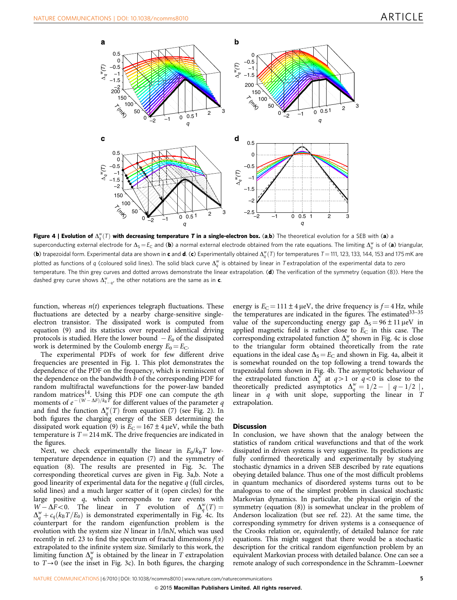<span id="page-5-0"></span>

Figure 4 | Evolution of  $\Delta_q^w(T)$  with decreasing temperature T in a single-electron box. (a,b) The theoretical evolution for a SEB with (a) a superconducting external electrode for  $\Delta_S$  =  $E_C$  and (b) a normal external electrode obtained from the rate equations. The limiting  $\Delta_q^w$  is of (a) triangular, (**b**) trapezoidal form. Experimental data are shown in **c** and **d**. (**c**) Experimentally obtained  $\Delta_q^w(T)$  for temperatures  $T = 111$ , 123, 133, 144, 153 and 175 mK are plotted as functions of  $q$  (coloured solid lines). The solid black curve  $\Delta_q^w$  is obtained by linear in  $T$ extrapolation of the experimental data to zero temperature. The thin grey curves and dotted arrows demonstrate the linear extrapolation. (d) The verification of the symmetry (equation  $(8)$ ). Here the dashed grey curve shows  $\Delta_{1-q}^w$ , the other notations are the same as in  $\mathbf c$ .

function, whereas  $n(t)$  experiences telegraph fluctuations. These fluctuations are detected by a nearby charge-sensitive singleelectron transistor. The dissipated work is computed from equation (9) and its statistics over repeated identical driving protocols is studied. Here the lower bound  $-E_0$  of the dissipated work is determined by the Coulomb energy  $E_0 = E_C$ .

The experimental PDFs of work for few different drive frequencies are presented in [Fig. 1.](#page-3-0) This plot demonstrates the dependence of the PDF on the frequency, which is reminiscent of the dependence on the bandwidth  $b$  of the corresponding PDF for random multifractal wavefunctions for the power-law banded random matrices<sup>[14](#page-6-0)</sup>. Using this PDF one can compute the qth moments of  $e^{-(W-\Delta F)/k_B T}$  for different values of the parameter q and find the function  $\Delta_q^w(T)$  from equation (7) (see [Fig. 2](#page-3-0)). In both figures the charging energy of the SEB determining the dissipated work equation (9) is  $\vec{E}_C = 167 \pm 4 \,\mu\text{eV}$ , while the bath temperature is  $T = 214$  mK. The drive frequencies are indicated in the figures.

Next, we check experimentally the linear in  $E_0/k_BT$  lowtemperature dependence in equation (7) and the symmetry of equation (8). The results are presented in [Fig. 3c](#page-4-0). The corresponding theoretical curves are given in [Fig. 3a,b.](#page-4-0) Note a good linearity of experimental data for the negative  $q$  (full circles, solid lines) and a much larger scatter of it (open circles) for the large positive q, which corresponds to rare events with  $W - \Delta F < 0$ . The linear in T evolution of  $\Delta_q^w(T) =$  $\Delta_q^{\text{w}} + c_q(k_B T/E_0)$  is demonstrated experimentally in Fig. 4c. Its counterpart for the random eigenfunction problem is the evolution with the system size N linear in 1/lnN, which was used recently in [ref. 23](#page-6-0) to find the spectrum of fractal dimensions  $f(x)$ extrapolated to the infinite system size. Similarly to this work, the limiting function  $\Delta_q^w$  is obtained by the linear in T extrapolation to  $T\rightarrow 0$  (see the inset in [Fig. 3c](#page-4-0)). In both figures, the charging

energy is  $E_C = 111 \pm 4 \,\text{\mu} \text{eV}$ , the drive frequency is  $f = 4 \,\text{Hz}$ , while the temperatures are indicated in the figures. The estimated  $33-35$ value of the superconducting energy gap  $\Delta_S = 96 \pm 11 \,\mu\text{eV}$  in applied magnetic field is rather close to  $E_C$  in this case. The corresponding extrapolated function  $\Delta_q^w$  shown in Fig. 4c is close to the triangular form obtained theoretically from the rate equations in the ideal case  $\Delta$ <sub>S</sub> =  $E$ <sub>C</sub> and shown in Fig. 4a, albeit it is somewhat rounded on the top following a trend towards the trapezoidal form shown in Fig. 4b. The asymptotic behaviour of the extrapolated function  $\Delta_q^w$  at  $q>1$  or  $q<0$  is close to the theoretically predicted asymptotics  $\Delta_q^w = 1/2 - |q - 1/2|$ , linear in  $q$  with unit slope, supporting the linear in  $T$ extrapolation.

### **Discussion**

In conclusion, we have shown that the analogy between the statistics of random critical wavefunctions and that of the work dissipated in driven systems is very suggestive. Its predictions are fully confirmed theoretically and experimentally by studying stochastic dynamics in a driven SEB described by rate equations obeying detailed balance. Thus one of the most difficult problems in quantum mechanics of disordered systems turns out to be analogous to one of the simplest problem in classical stochastic Markovian dynamics. In particular, the physical origin of the symmetry (equation (8)) is somewhat unclear in the problem of Anderson localization (but see [ref. 22](#page-6-0)). At the same time, the corresponding symmetry for driven systems is a consequence of the Crooks relation or, equivalently, of detailed balance for rate equations. This might suggest that there would be a stochastic description for the critical random eigenfunction problem by an equivalent Markovian process with detailed balance. One can see a remote analogy of such correspondence in the Schramm–Loewner